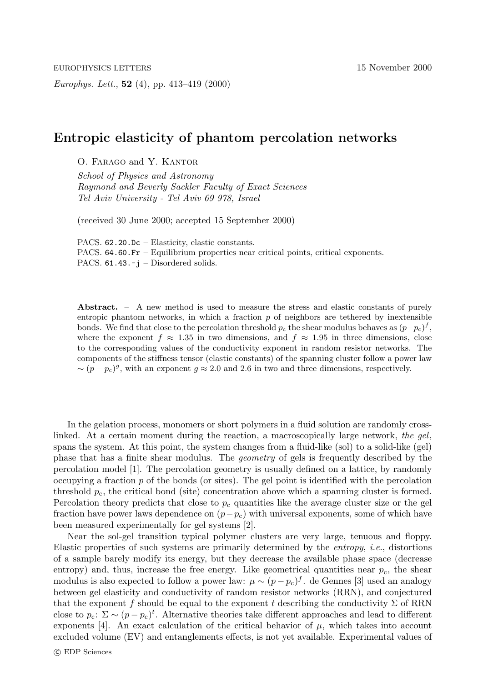*Europhys. Lett.*, **52** (4), pp. 413–419 (2000)

## **Entropic elasticity of phantom percolation networks**

O. Farago and Y. Kantor

*School of Physics and Astronomy Raymond and Beverly Sackler Faculty of Exact Sciences Tel Aviv University -Tel Aviv 69 978, Israel*

(received 30 June 2000; accepted 15 September 2000)

PACS. 62.20.Dc – Elasticity, elastic constants. PACS. 64.60.Fr – Equilibrium properties near critical points, critical exponents. PACS. 61.43.-j – Disordered solids.

**Abstract.** – A new method is used to measure the stress and elastic constants of purely entropic phantom networks, in which a fraction  $p$  of neighbors are tethered by inextensible bonds. We find that close to the percolation threshold  $p_c$  the shear modulus behaves as  $(p-p_c)^f$ , where the exponent  $f \approx 1.35$  in two dimensions and  $f \approx 1.95$  in three dimensions, close where the exponent  $f \approx 1.35$  in two dimensions, and  $f \approx 1.95$  in three dimensions, close to the corresponding values of the conductivity exponent in random resistor networks. The components of the stiffness tensor (elastic constants) of the spanning cluster follow a power law  $\sim (p - p_c)^g$ , with an exponent  $g \approx 2.0$  and 2.6 in two and three dimensions, respectively.

In the gelation process, monomers or short polymers in a fluid solution are randomly crosslinked. At a certain moment during the reaction, a macroscopically large network, *the gel*, spans the system. At this point, the system changes from a fluid-like (sol) to a solid-like (gel) phase that has a finite shear modulus. The *geometry* of gels is frequently described by the percolation model [1]. The percolation geometry is usually defined on a lattice, by randomly occupying a fraction  $p$  of the bonds (or sites). The gel point is identified with the percolation threshold  $p_c$ , the critical bond (site) concentration above which a spanning cluster is formed. Percolation theory predicts that close to  $p_c$  quantities like the average cluster size or the gel fraction have power laws dependence on  $(p-p_c)$  with universal exponents, some of which have been measured experimentally for gel systems [2].

Near the sol-gel transition typical polymer clusters are very large, tenuous and floppy. Elastic properties of such systems are primarily determined by the *entropy*, *i.e.*, distortions of a sample barely modify its energy, but they decrease the available phase space (decrease entropy) and, thus, increase the free energy. Like geometrical quantities near  $p_c$ , the shear modulus is also expected to follow a power law:  $\mu \sim (p - p_c)^f$ . de Gennes [3] used an analogy between gel elasticity and conductivity of random resistor networks (RRN), and conjectured that the exponent f should be equal to the exponent t describing the conductivity  $\Sigma$  of RRN close to  $p_c$ :  $\Sigma \sim (p - p_c)^t$ . Alternative theories take different approaches and lead to different exponents [4]. An exact calculation of the critical behavior of  $\mu$ , which takes into account excluded volume (EV) and entanglements effects, is not yet available. Experimental values of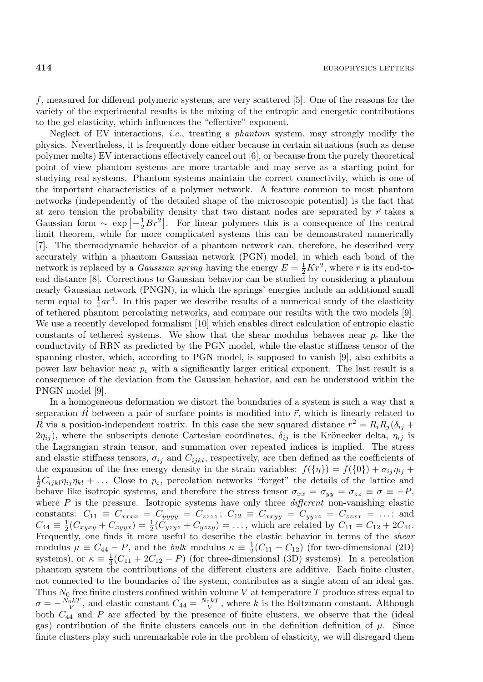f, measured for different polymeric systems, are very scattered [5]. One of the reasons for the variety of the experimental results is the mixing of the entropic and energetic contributions to the gel elasticity, which influences the "effective" exponent.

Neglect of EV interactions, *i.e.*, treating a *phantom* system, may strongly modify the physics. Nevertheless, it is frequently done either because in certain situations (such as dense polymer melts) EV interactions effectively cancel out [6], or because from the purely theoretical point of view phantom systems are more tractable and may serve as a starting point for studying real systems. Phantom systems maintain the correct connectivity, which is one of the important characteristics of a polymer network. A feature common to most phantom networks (independently of the detailed shape of the microscopic potential) is the fact that at zero tension the probability density that two distant nodes are separated by  $\vec{r}$  takes a Gaussian form  $\sim \exp \left[-\frac{1}{2}Br^2\right]$ . For linear polymers this is a consequence of the central limit theorem, while for more complicated systems this can be demonstrated numerically [7]. The thermodynamic behavior of a phantom network can, therefore, be described very accurately within a phantom Gaussian network (PGN) model, in which each bond of the network is replaced by a *Gaussian spring* having the energy  $E = \frac{1}{2}Kr^2$ , where r is its end-toend distance [8]. Corrections to Gaussian behavior can be studied by considering a phantom nearly Gaussian network (PNGN), in which the springs' energies include an additional small term equal to  $\frac{1}{4}ar^4$ . In this paper we describe results of a numerical study of the elasticity of tethered phantom percolating networks, and compare our results with the two models [9]. We use a recently developed formalism [10] which enables direct calculation of entropic elastic constants of tethered systems. We show that the shear modulus behaves near  $p_c$  like the conductivity of RRN as predicted by the PGN model, while the elastic stiffness tensor of the spanning cluster, which, according to PGN model, is supposed to vanish [9], also exhibits a power law behavior near  $p_c$  with a significantly larger critical exponent. The last result is a consequence of the deviation from the Gaussian behavior, and can be understood within the PNGN model [9].

In a homogeneous deformation we distort the boundaries of a system is such a way that a separation  $\vec{R}$  between a pair of surface points is modified into  $\vec{r}$ , which is linearly related to  $\vec{R}$  via a position-independent matrix. In this case the new squared distance  $r^2 = R_i R_j (\delta_{ij} + \delta_{ij} + \delta_{ij} + \delta_{ij} + \delta_{ij} + \delta_{ij} + \delta_{ij} + \delta_{ij} + \delta_{ij} + \delta_{ij} + \delta_{ij} + \delta_{ij}$  $2\eta_{ij}$ , where the subscripts denote Cartesian coordinates,  $\delta_{ij}$  is the Krönecker delta,  $\eta_{ij}$  is the Lagrangian strain tensor, and summation over repeated indices is implied. The stress and elastic stiffness tensors,  $\sigma_{ij}$  and  $C_{ijkl}$ , respectively, are then defined as the coefficients of the expansion of the free energy density in the strain variables:  $f(\{\eta\}) = f(\{0\}) + \sigma_{ij}\eta_{ij}$  $\frac{1}{2}C_{ijkl}n_{ij}n_{kl} + \dots$  Close to  $p_c$ , percolation networks "forget" the details of the lattice and<br>habever like instrume and therefore the stress tones  $z_c = \overline{z} = \overline{R}$ behave like isotropic systems, and therefore the stress tensor  $\sigma_{xx} = \sigma_{yy} = \sigma_{zz} \equiv \sigma \equiv -P$ , where P is the pressure. Isotropic systems have only three *different* non-vanishing elastic constants:  $C_{11} \equiv C_{xxxx} = C_{yyyy} = C_{zzzz}$ ;  $C_{12} \equiv C_{xxyy} = C_{yyzz} = C_{zzxx} = ...$ ; and  $C_{44} \equiv \frac{1}{2}(C_{xyxy} + C_{xyyx}) = \frac{1}{2}(\tilde{C}_{yzyz} + C_{yzzy}) = \dots$ , which are related by  $C_{11} = C_{12} + 2C_{44}$ . Frequently, one finds it more useful to describe the elastic behavior in terms of the *shear* modulus  $\mu \equiv C_{44} - P$ , and the *bulk* modulus  $\kappa \equiv \frac{1}{2}(C_{11} + C_{12})$  (for two-dimensional (2D) systems), or  $\kappa \equiv \frac{1}{3}(C_{11} + 2C_{12} + P)$  (for three-dimensional (3D) systems). In a percolation phantom system the contributions of the different clusters are additive. Each finite cluster, not connected to the boundaries of the system, contributes as a single atom of an ideal gas. Thus  $N_0$  free finite clusters confined within volume V at temperature T produce stress equal to  $\sigma = -\frac{N_0 kT}{V}$ , and elastic constant  $C_{44} = \frac{N_0 kT}{V}$ , where k is the Boltzmann constant. Although both  $C_{44}$  and P are affected by the presence of finite clusters, we observe that the (ideal gas) contribution of the finite clusters cancels out in the definition definition of  $\mu$ . Since finite clusters play such unremarkable role in the problem of elasticity, we will disregard them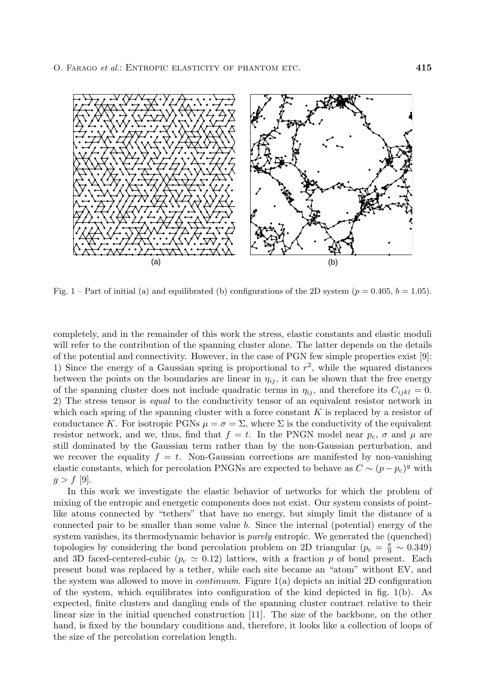

Fig. 1 – Part of initial (a) and equilibrated (b) configurations of the 2D system  $(p = 0.405, b = 1.05)$ .

completely, and in the remainder of this work the stress, elastic constants and elastic moduli will refer to the contribution of the spanning cluster alone. The latter depends on the details of the potential and connectivity. However, in the case of PGN few simple properties exist [9]: 1) Since the energy of a Gaussian spring is proportional to  $r^2$ , while the squared distances between the points on the boundaries are linear in  $\eta_{ij}$ , it can be shown that the free energy of the spanning cluster does not include quadratic terms in  $\eta_{ii}$ , and therefore its  $C_{ijkl} = 0$ . 2) The stress tensor is *equal* to the conductivity tensor of an equivalent resistor network in which each spring of the spanning cluster with a force constant  $K$  is replaced by a resistor of conductance K. For isotropic PGNs  $\mu = \sigma = \Sigma$ , where  $\Sigma$  is the conductivity of the equivalent resistor network, and we, thus, find that  $f = t$ . In the PNGN model near  $p_c$ ,  $\sigma$  and  $\mu$  are still dominated by the Gaussian term rather than by the non-Gaussian perturbation, and we recover the equality  $f = t$ . Non-Gaussian corrections are manifested by non-vanishing elastic constants, which for percolation PNGNs are expected to behave as  $C \sim (p - p_c)^g$  with  $g > f$  [9].

In this work we investigate the elastic behavior of networks for which the problem of mixing of the entropic and energetic components does not exist. Our system consists of pointlike atoms connected by "tethers" that have no energy, but simply limit the distance of a connected pair to be smaller than some value b. Since the internal (potential) energy of the system vanishes, its thermodynamic behavior is *purely* entropic. We generated the (quenched) topologies by considering the bond percolation problem on 2D triangular ( $p_c = \frac{\pi}{9} \sim 0.349$ ) and 3D faced-centered-cubic  $(p_c \simeq 0.12)$  lattices, with a fraction p of bond present. Each present bond was replaced by a tether, while each site became an "atom" without EV, and the system was allowed to move in *continuum*. Figure 1(a) depicts an initial 2D configuration of the system, which equilibrates into configuration of the kind depicted in fig. 1(b). As expected, finite clusters and dangling ends of the spanning cluster contract relative to their linear size in the initial quenched construction [11]. The size of the backbone, on the other hand, is fixed by the boundary conditions and, therefore, it looks like a collection of loops of the size of the percolation correlation length.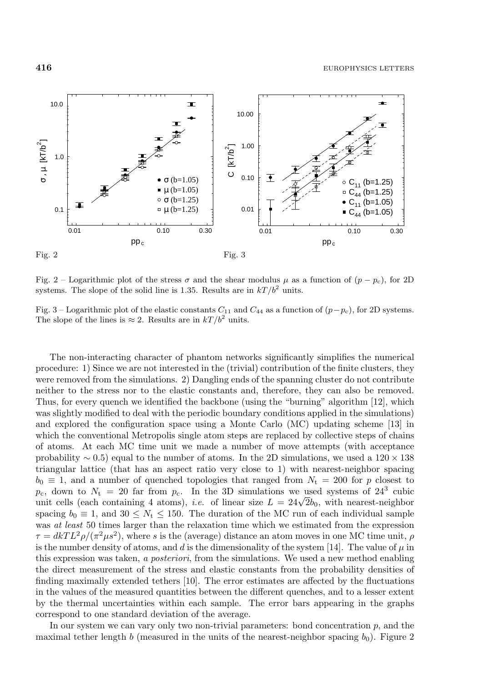

Fig. 2 – Logarithmic plot of the stress  $\sigma$  and the shear modulus  $\mu$  as a function of  $(p - p_c)$ , for 2D systems. The slope of the solid line is 1.35. Results are in  $kT/b^2$  units.

Fig. 3 – Logarithmic plot of the elastic constants  $C_{11}$  and  $C_{44}$  as a function of  $(p-p_c)$ , for 2D systems. The slope of the lines is  $\approx 2$ . Results are in  $kT/b^2$  units.

The non-interacting character of phantom networks significantly simplifies the numerical procedure: 1) Since we are not interested in the (trivial) contribution of the finite clusters, they were removed from the simulations. 2) Dangling ends of the spanning cluster do not contribute neither to the stress nor to the elastic constants and, therefore, they can also be removed. Thus, for every quench we identified the backbone (using the "burning" algorithm [12], which was slightly modified to deal with the periodic boundary conditions applied in the simulations) and explored the configuration space using a Monte Carlo (MC) updating scheme [13] in which the conventional Metropolis single atom steps are replaced by collective steps of chains of atoms. At each MC time unit we made a number of move attempts (with acceptance probability  $\sim 0.5$ ) equal to the number of atoms. In the 2D simulations, we used a 120 × 138 triangular lattice (that has an aspect ratio very close to 1) with nearest-neighbor spacing  $b_0 \equiv 1$ , and a number of quenched topologies that ranged from  $N_t = 200$  for p closest to  $p_c$ , down to  $N_t = 20$  far from  $p_c$ . In the 3D simulations we used systems of  $24^3$  cubic unit cells (each containing 4 atoms), *i.e.* of linear size  $L = 24\sqrt{2}b_0$ , with nearest-neighbor spacing  $b_0 \equiv 1$ , and  $30 \leq N_t \leq 150$ . The duration of the MC run of each individual sample was *at least* 50 times larger than the relaxation time which we estimated from the expression  $\tau = dkT L^2 \rho / (\pi^2 \mu s^2)$ , where s is the (average) distance an atom moves in one MC time unit,  $\rho$ is the number density of atoms, and d is the dimensionality of the system [14]. The value of  $\mu$  in this expression was taken, *a posteriori*, from the simulations. We used a new method enabling the direct measurement of the stress and elastic constants from the probability densities of finding maximally extended tethers [10]. The error estimates are affected by the fluctuations in the values of the measured quantities between the different quenches, and to a lesser extent by the thermal uncertainties within each sample. The error bars appearing in the graphs correspond to one standard deviation of the average.

In our system we can vary only two non-trivial parameters: bond concentration  $p$ , and the maximal tether length b (measured in the units of the nearest-neighbor spacing  $b_0$ ). Figure 2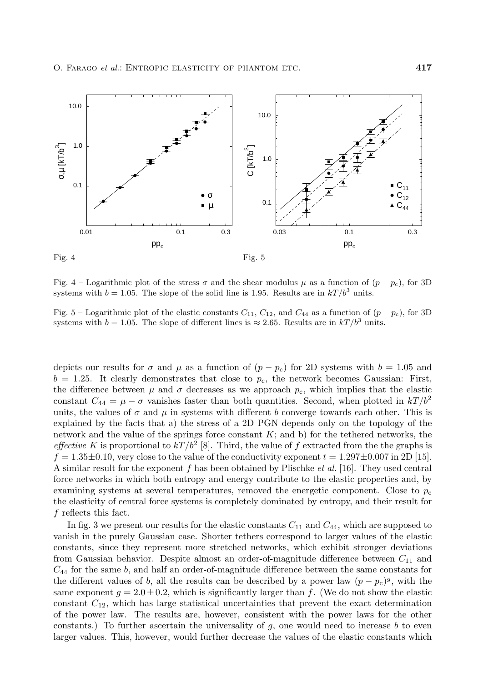

Fig. 4 – Logarithmic plot of the stress  $\sigma$  and the shear modulus  $\mu$  as a function of  $(p - p_c)$ , for 3D systems with  $b = 1.05$ . The slope of the solid line is 1.95. Results are in  $kT/b^3$  units.

Fig. 5 – Logarithmic plot of the elastic constants  $C_{11}$ ,  $C_{12}$ , and  $C_{44}$  as a function of  $(p - p_c)$ , for 3D systems with  $b = 1.05$ . The slope of different lines is  $\approx 2.65$ . Results are in  $kT/b^3$  units.

depicts our results for  $\sigma$  and  $\mu$  as a function of  $(p - p_c)$  for 2D systems with  $b = 1.05$  and  $b = 1.25$ . It clearly demonstrates that close to  $p_c$ , the network becomes Gaussian: First, the difference between  $\mu$  and  $\sigma$  decreases as we approach  $p_c$ , which implies that the elastic constant  $C_{44} = \mu - \sigma$  vanishes faster than both quantities. Second, when plotted in  $kT/b^2$ units, the values of  $\sigma$  and  $\mu$  in systems with different b converge towards each other. This is explained by the facts that a) the stress of a 2D PGN depends only on the topology of the network and the value of the springs force constant  $K$ ; and b) for the tethered networks, the *effective* K is proportional to  $kT/b^2$  [8]. Third, the value of f extracted from the the graphs is  $f = 1.35\pm0.10$ , very close to the value of the conductivity exponent  $t = 1.297\pm0.007$  in 2D [15]. A similar result for the exponent f has been obtained by Plischke *et al.* [16]. They used central force networks in which both entropy and energy contribute to the elastic properties and, by examining systems at several temperatures, removed the energetic component. Close to  $p_c$ the elasticity of central force systems is completely dominated by entropy, and their result for f reflects this fact.

In fig. 3 we present our results for the elastic constants  $C_{11}$  and  $C_{44}$ , which are supposed to vanish in the purely Gaussian case. Shorter tethers correspond to larger values of the elastic constants, since they represent more stretched networks, which exhibit stronger deviations from Gaussian behavior. Despite almost an order-of-magnitude difference between  $C_{11}$  and  $C_{44}$  for the same b, and half an order-of-magnitude difference between the same constants for the different values of b, all the results can be described by a power law  $(p - p_c)^g$ , with the same exponent  $g = 2.0 \pm 0.2$ , which is significantly larger than f. (We do not show the elastic constant  $C_{12}$ , which has large statistical uncertainties that prevent the exact determination of the power law. The results are, however, consistent with the power laws for the other constants.) To further ascertain the universality of  $g$ , one would need to increase  $b$  to even larger values. This, however, would further decrease the values of the elastic constants which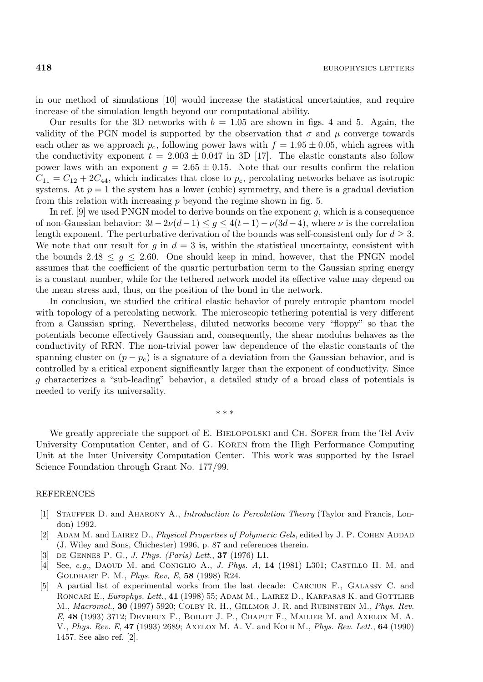in our method of simulations [10] would increase the statistical uncertainties, and require increase of the simulation length beyond our computational ability.

Our results for the 3D networks with  $b = 1.05$  are shown in figs. 4 and 5. Again, the validity of the PGN model is supported by the observation that  $\sigma$  and  $\mu$  converge towards each other as we approach  $p_c$ , following power laws with  $f = 1.95 \pm 0.05$ , which agrees with the conductivity exponent  $t = 2.003 \pm 0.047$  in 3D [17]. The elastic constants also follow power laws with an exponent  $g = 2.65 \pm 0.15$ . Note that our results confirm the relation  $C_{11} = C_{12} + 2C_{44}$ , which indicates that close to  $p_c$ , percolating networks behave as isotropic systems. At  $p = 1$  the system has a lower (cubic) symmetry, and there is a gradual deviation from this relation with increasing  $p$  beyond the regime shown in fig. 5.

In ref.  $[9]$  we used PNGN model to derive bounds on the exponent g, which is a consequence of non-Gaussian behavior:  $3t-2\nu(d-1) \leq q \leq 4(t-1)-\nu(3d-4)$ , where  $\nu$  is the correlation length exponent. The perturbative derivation of the bounds was self-consistent only for  $d \geq 3$ . We note that our result for  $g$  in  $d = 3$  is, within the statistical uncertainty, consistent with the bounds 2.48  $\leq$  g  $\leq$  2.60. One should keep in mind, however, that the PNGN model assumes that the coefficient of the quartic perturbation term to the Gaussian spring energy is a constant number, while for the tethered network model its effective value may depend on the mean stress and, thus, on the position of the bond in the network.

In conclusion, we studied the critical elastic behavior of purely entropic phantom model with topology of a percolating network. The microscopic tethering potential is very different from a Gaussian spring. Nevertheless, diluted networks become very "floppy" so that the potentials become effectively Gaussian and, consequently, the shear modulus behaves as the conductivity of RRN. The non-trivial power law dependence of the elastic constants of the spanning cluster on  $(p - p_c)$  is a signature of a deviation from the Gaussian behavior, and is controlled by a critical exponent significantly larger than the exponent of conductivity. Since g characterizes a "sub-leading" behavior, a detailed study of a broad class of potentials is needed to verify its universality.

∗∗∗

We greatly appreciate the support of E. BIELOPOLSKI and CH. SOFER from the Tel Aviv University Computation Center, and of G. Koren from the High Performance Computing Unit at the Inter University Computation Center. This work was supported by the Israel Science Foundation through Grant No. 177/99.

## REFERENCES

- [1] Stauffer D. and Aharony A., *Introduction to Percolation Theory* (Taylor and Francis, London) 1992.
- [2] ADAM M. and LAIREZ D., *Physical Properties of Polymeric Gels*, edited by J. P. COHEN ADDAD (J. Wiley and Sons, Chichester) 1996, p. 87 and references therein.
- [3] de Gennes P. G., *J. Phys. (Paris) Lett.*, **37** (1976) L1.
- [4] See, *e.g.*, Daoud M. and Coniglio A., *J. Phys. A*, **14** (1981) L301; Castillo H. M. and Goldbart P. M., *Phys. Rev, E*, **58** (1998) R24.
- [5] A partial list of experimental works from the last decade: Carciun F., Galassy C. and RONCARI E., *Europhys. Lett.*, 41 (1998) 55; ADAM M., LAIREZ D., KARPASAS K. and GOTTLIEB M., *Macromol.*, **30** (1997) 5920; Colby R. H., Gillmor J. R. and Rubinstein M., *Phys. Rev. E*, **48** (1993) 3712; Devreux F., Boilot J. P., Chaput F., Mailier M. and Axelox M. A. V., *Phys. Rev. E*, **47** (1993) 2689; Axelox M. A. V. and Kolb M., *Phys. Rev. Lett.*, **64** (1990) 1457. See also ref. [2].